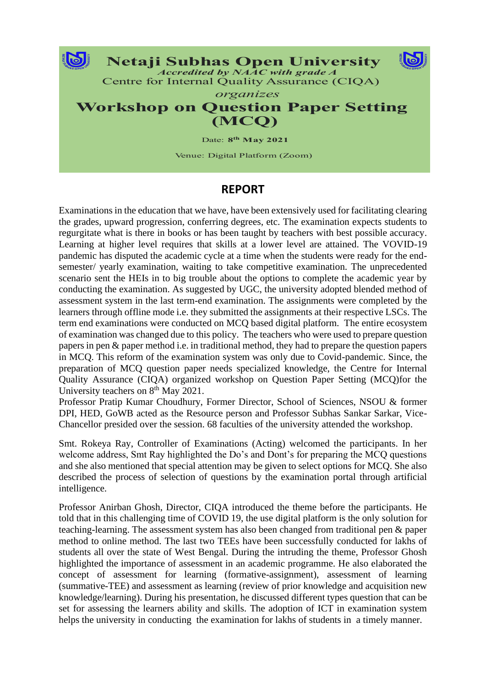

## **REPORT**

Examinations in the education that we have, have been extensively used for facilitating clearing the grades, upward progression, conferring degrees, etc. The examination expects students to regurgitate what is there in books or has been taught by teachers with best possible accuracy. Learning at higher level requires that skills at a lower level are attained. The VOVID-19 pandemic has disputed the academic cycle at a time when the students were ready for the endsemester/ yearly examination, waiting to take competitive examination. The unprecedented scenario sent the HEIs in to big trouble about the options to complete the academic year by conducting the examination. As suggested by UGC, the university adopted blended method of assessment system in the last term-end examination. The assignments were completed by the learners through offline mode i.e. they submitted the assignments at their respective LSCs. The term end examinations were conducted on MCQ based digital platform. The entire ecosystem of examination was changed due to this policy. The teachers who were used to prepare question papers in pen & paper method i.e. in traditional method, they had to prepare the question papers in MCQ. This reform of the examination system was only due to Covid-pandemic. Since, the preparation of MCQ question paper needs specialized knowledge, the Centre for Internal Quality Assurance (CIQA) organized workshop on Question Paper Setting (MCQ)for the University teachers on 8<sup>th</sup> May 2021.

Professor Pratip Kumar Choudhury, Former Director, School of Sciences, NSOU & former DPI, HED, GoWB acted as the Resource person and Professor Subhas Sankar Sarkar, Vice-Chancellor presided over the session. 68 faculties of the university attended the workshop.

Smt. Rokeya Ray, Controller of Examinations (Acting) welcomed the participants. In her welcome address, Smt Ray highlighted the Do's and Dont's for preparing the MCQ questions and she also mentioned that special attention may be given to select options for MCQ. She also described the process of selection of questions by the examination portal through artificial intelligence.

Professor Anirban Ghosh, Director, CIQA introduced the theme before the participants. He told that in this challenging time of COVID 19, the use digital platform is the only solution for teaching-learning. The assessment system has also been changed from traditional pen & paper method to online method. The last two TEEs have been successfully conducted for lakhs of students all over the state of West Bengal. During the intruding the theme, Professor Ghosh highlighted the importance of assessment in an academic programme. He also elaborated the concept of assessment for learning (formative-assignment), assessment of learning (summative-TEE) and assessment as learning (review of prior knowledge and acquisition new knowledge/learning). During his presentation, he discussed different types question that can be set for assessing the learners ability and skills. The adoption of ICT in examination system helps the university in conducting the examination for lakhs of students in a timely manner.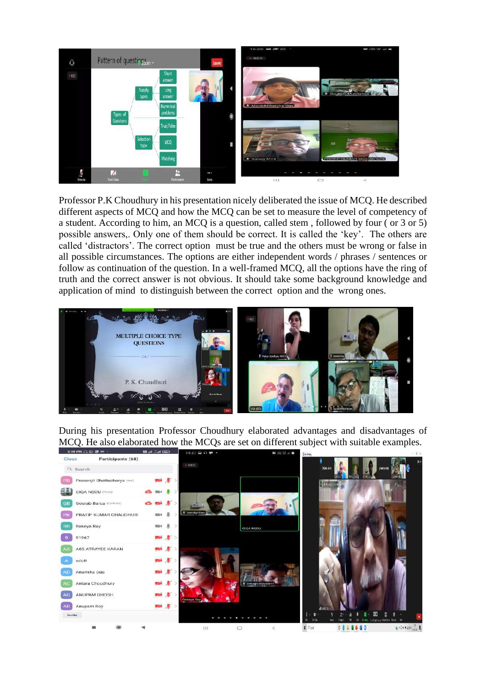

Professor P.K Choudhury in his presentation nicely deliberated the issue of MCQ. He described different aspects of MCQ and how the MCQ can be set to measure the level of competency of a student. According to him, an MCQ is a question, called stem , followed by four ( or 3 or 5) possible answers,. Only one of them should be correct. It is called the 'key'. The others are called 'distractors'. The correct option must be true and the others must be wrong or false in all possible circumstances. The options are either independent words / phrases / sentences or follow as continuation of the question. In a well-framed MCQ, all the options have the ring of truth and the correct answer is not obvious. It should take some background knowledge and application of mind to distinguish between the correct option and the wrong ones.



During his presentation Professor Choudhury elaborated advantages and disadvantages of MCQ. He also elaborated how the MCQs are set on different subject with suitable examples.